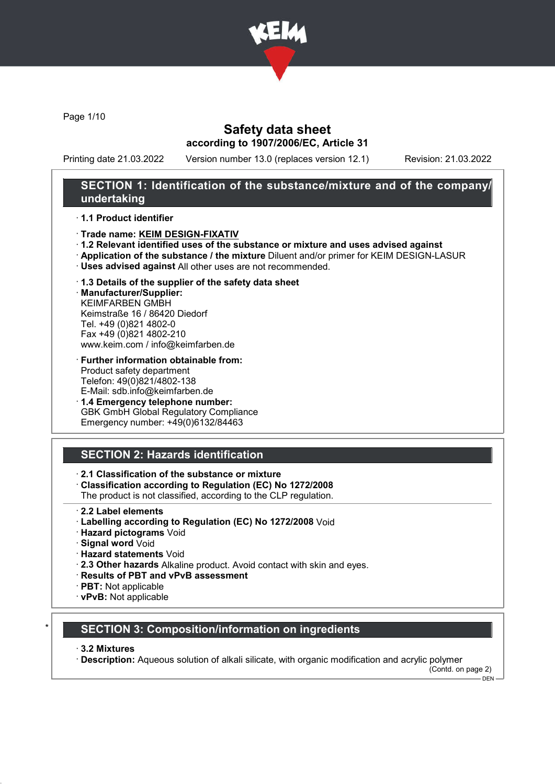

Page 1/10

## Safety data sheet according to 1907/2006/EC, Article 31

Printing date 21.03.2022 Version number 13.0 (replaces version 12.1) Revision: 21.03.2022

### SECTION 1: Identification of the substance/mixture and of the company/ undertaking

#### · 1.1 Product identifier

- · Trade name: KEIM DESIGN-FIXATIV
- · 1.2 Relevant identified uses of the substance or mixture and uses advised against
- · Application of the substance / the mixture Diluent and/or primer for KEIM DESIGN-LASUR
- · Uses advised against All other uses are not recommended.
- · 1.3 Details of the supplier of the safety data sheet

· Manufacturer/Supplier: KEIMFARBEN GMBH Keimstraße 16 / 86420 Diedorf Tel. +49 (0)821 4802-0 Fax +49 (0)821 4802-210 www.keim.com / info@keimfarben.de

· Further information obtainable from: Product safety department Telefon: 49(0)821/4802-138 E-Mail: sdb.info@keimfarben.de

· 1.4 Emergency telephone number: GBK GmbH Global Regulatory Compliance Emergency number: +49(0)6132/84463

# SECTION 2: Hazards identification

### · 2.1 Classification of the substance or mixture

· Classification according to Regulation (EC) No 1272/2008

The product is not classified, according to the CLP regulation.

- · 2.2 Label elements
- · Labelling according to Regulation (EC) No 1272/2008 Void
- · Hazard pictograms Void
- · Signal word Void
- · Hazard statements Void
- · 2.3 Other hazards Alkaline product. Avoid contact with skin and eyes.
- · Results of PBT and vPvB assessment
- · PBT: Not applicable
- · vPvB: Not applicable

### **SECTION 3: Composition/information on ingredients**

#### · 3.2 Mixtures

· Description: Aqueous solution of alkali silicate, with organic modification and acrylic polymer

(Contd. on page 2)  $-$  DEN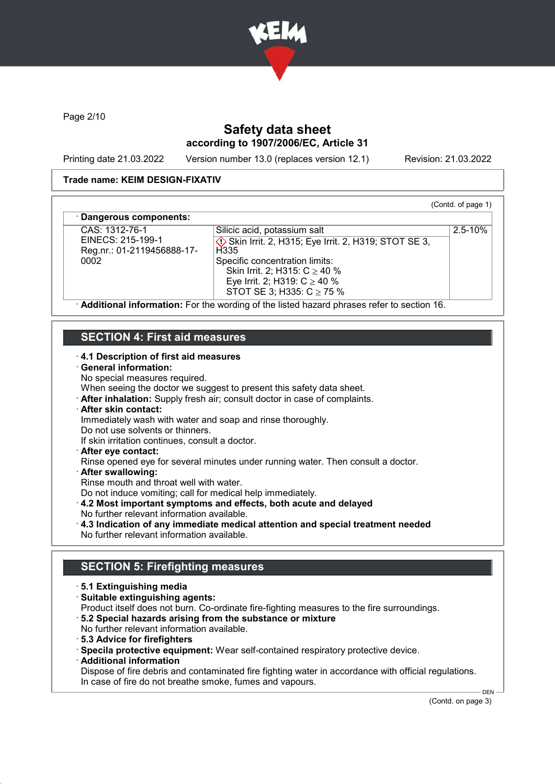

Page 2/10

# Safety data sheet according to 1907/2006/EC, Article 31

Printing date 21.03.2022 Version number 13.0 (replaces version 12.1) Revision: 21.03.2022

(Contd. of page 1)

2.5-10%

### Trade name: KEIM DESIGN-FIXATIV

#### Dangerous components:

CAS: 1312-76-1 EINECS: 215-199-1 Reg.nr.: 01-2119456888-17- 0002

**♦ Skin Irrit. 2, H315; Eye Irrit. 2, H319; STOT SE 3, H335** Specific concentration limits: Skin Irrit. 2; H315: C ≥ 40 % Eye Irrit. 2; H319: C ≥ 40 % STOT SE 3; H335: C ≥ 75 %

Silicic acid, potassium salt

· Additional information: For the wording of the listed hazard phrases refer to section 16.

# SECTION 4: First aid measures

### · 4.1 Description of first aid measures

#### · General information:

No special measures required.

When seeing the doctor we suggest to present this safety data sheet.

· After inhalation: Supply fresh air; consult doctor in case of complaints.

# · After skin contact:

Immediately wash with water and soap and rinse thoroughly.

Do not use solvents or thinners.

If skin irritation continues, consult a doctor.

· After eye contact:

Rinse opened eye for several minutes under running water. Then consult a doctor.

- · After swallowing:
- Rinse mouth and throat well with water.

Do not induce vomiting; call for medical help immediately.

· 4.2 Most important symptoms and effects, both acute and delayed

- No further relevant information available.
- · 4.3 Indication of any immediate medical attention and special treatment needed No further relevant information available.

# SECTION 5: Firefighting measures

- · 5.1 Extinguishing media
- · Suitable extinguishing agents:

Product itself does not burn. Co-ordinate fire-fighting measures to the fire surroundings.

- · 5.2 Special hazards arising from the substance or mixture
- No further relevant information available.
- · 5.3 Advice for firefighters

· Specila protective equipment: Wear self-contained respiratory protective device.

· Additional information

Dispose of fire debris and contaminated fire fighting water in accordance with official regulations. In case of fire do not breathe smoke, fumes and vapours.

(Contd. on page 3)

 $DEN$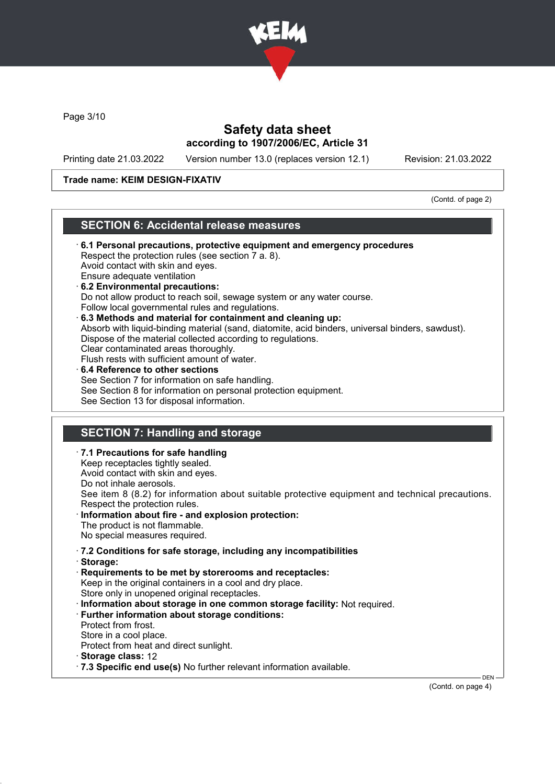

Page 3/10

## Safety data sheet according to 1907/2006/EC, Article 31

Printing date 21.03.2022 Version number 13.0 (replaces version 12.1) Revision: 21.03.2022

### Trade name: KEIM DESIGN-FIXATIV

(Contd. of page 2)

### SECTION 6: Accidental release measures

- · 6.1 Personal precautions, protective equipment and emergency procedures Respect the protection rules (see section 7 a. 8). Avoid contact with skin and eyes. Ensure adequate ventilation · 6.2 Environmental precautions: Do not allow product to reach soil, sewage system or any water course. Follow local governmental rules and regulations. · 6.3 Methods and material for containment and cleaning up: Absorb with liquid-binding material (sand, diatomite, acid binders, universal binders, sawdust). Dispose of the material collected according to regulations. Clear contaminated areas thoroughly. Flush rests with sufficient amount of water. 6.4 Reference to other sections See Section 7 for information on safe handling. See Section 8 for information on personal protection equipment. See Section 13 for disposal information. SECTION 7: Handling and storage · 7.1 Precautions for safe handling Keep receptacles tightly sealed.
- Avoid contact with skin and eyes. Do not inhale aerosols. See item 8 (8.2) for information about suitable protective equipment and technical precautions. Respect the protection rules. Information about fire - and explosion protection: The product is not flammable. No special measures required. · 7.2 Conditions for safe storage, including any incompatibilities · Storage: · Requirements to be met by storerooms and receptacles: Keep in the original containers in a cool and dry place. Store only in unopened original receptacles. · Information about storage in one common storage facility: Not required. · Further information about storage conditions:
	- Protect from frost.
	- Store in a cool place. Protect from heat and direct sunlight.
	-
	- · Storage class: 12
	- · 7.3 Specific end use(s) No further relevant information available.

(Contd. on page 4)

**DEN**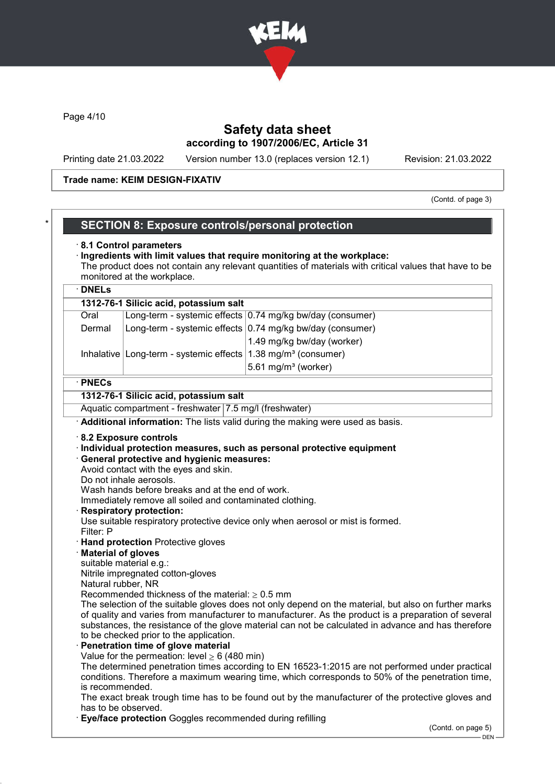

Page 4/10

## Safety data sheet according to 1907/2006/EC, Article 31

Printing date 21.03.2022 Version number 13.0 (replaces version 12.1) Revision: 21.03.2022

#### Trade name: KEIM DESIGN-FIXATIV

(Contd. of page 3)

### SECTION 8: Exposure controls/personal protection

#### · 8.1 Control parameters

#### · Ingredients with limit values that require monitoring at the workplace: The product does not contain any relevant quantities of materials with critical values that have to be monitored at the workplace.

## · DNELs 1312-76-1 Silicic acid, potassium salt Oral Long-term - systemic effects 0.74 mg/kg bw/day (consumer) Dermal  $\vert$  Long-term - systemic effects 0.74 mg/kg bw/day (consumer) 1.49 mg/kg bw/day (worker) Inhalative Long-term - systemic effects  $1.38$  mg/m<sup>3</sup> (consumer)  $5.61$  mg/m $3$  (worker) · PNECs

# 1312-76-1 Silicic acid, potassium salt

Aquatic compartment - freshwater 7.5 mg/l (freshwater)

· Additional information: The lists valid during the making were used as basis.

#### · 8.2 Exposure controls

· Individual protection measures, such as personal protective equipment

#### · General protective and hygienic measures:

Avoid contact with the eyes and skin.

Do not inhale aerosols.

Wash hands before breaks and at the end of work.

Immediately remove all soiled and contaminated clothing.

**Respiratory protection:** 

Use suitable respiratory protective device only when aerosol or mist is formed. Filter: P

- · Hand protection Protective gloves
- **Material of gloves**
- suitable material e.g.:

Nitrile impregnated cotton-gloves

Natural rubber, NR

Recommended thickness of the material:  $\geq 0.5$  mm

The selection of the suitable gloves does not only depend on the material, but also on further marks of quality and varies from manufacturer to manufacturer. As the product is a preparation of several substances, the resistance of the glove material can not be calculated in advance and has therefore to be checked prior to the application.

#### Penetration time of glove material

Value for the permeation: level  $\geq 6$  (480 min)

The determined penetration times according to EN 16523-1:2015 are not performed under practical conditions. Therefore a maximum wearing time, which corresponds to 50% of the penetration time, is recommended.

The exact break trough time has to be found out by the manufacturer of the protective gloves and has to be observed.

**Eye/face protection** Goggles recommended during refilling

(Contd. on page 5)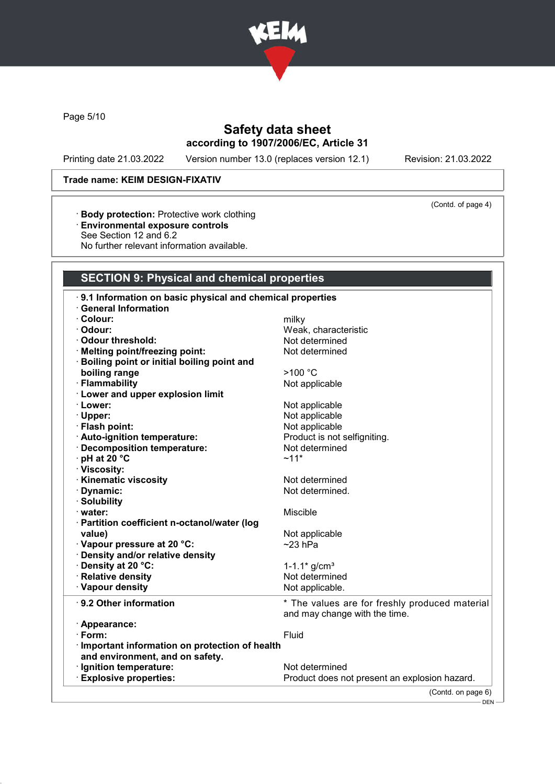

Page 5/10

# Safety data sheet according to 1907/2006/EC, Article 31

Printing date 21.03.2022 Version number 13.0 (replaces version 12.1) Revision: 21.03.2022

(Contd. of page 4)

### Trade name: KEIM DESIGN-FIXATIV

- · Body protection: Protective work clothing
- · Environmental exposure controls
- See Section 12 and 6.2
- No further relevant information available.

# SECTION 9: Physical and chemical properties

| 9.1 Information on basic physical and chemical properties<br><b>General Information</b> |                                                |
|-----------------------------------------------------------------------------------------|------------------------------------------------|
| · Colour:                                                                               | milky                                          |
| · Odour:                                                                                | Weak, characteristic                           |
| Odour threshold:                                                                        | Not determined                                 |
|                                                                                         | Not determined                                 |
| · Melting point/freezing point:                                                         |                                                |
| · Boiling point or initial boiling point and                                            |                                                |
| boiling range                                                                           | >100 °C                                        |
| · Flammability                                                                          | Not applicable                                 |
| <b>Lower and upper explosion limit</b>                                                  |                                                |
| · Lower:                                                                                | Not applicable                                 |
| · Upper:                                                                                | Not applicable                                 |
| · Flash point:                                                                          | Not applicable                                 |
| · Auto-ignition temperature:                                                            | Product is not selfigniting.                   |
| · Decomposition temperature:                                                            | Not determined                                 |
| · pH at 20 °C                                                                           | $~11*$                                         |
| · Viscosity:                                                                            |                                                |
| · Kinematic viscosity                                                                   | Not determined                                 |
| · Dynamic:                                                                              | Not determined.                                |
| · Solubility                                                                            |                                                |
| · water:                                                                                | Miscible                                       |
| · Partition coefficient n-octanol/water (log                                            |                                                |
| value)                                                                                  | Not applicable                                 |
| · Vapour pressure at 20 °C:                                                             | $~23$ hPa                                      |
| · Density and/or relative density                                                       |                                                |
| · Density at 20 °C:                                                                     | 1-1.1 $*$ g/cm <sup>3</sup>                    |
| · Relative density                                                                      | Not determined                                 |
| · Vapour density                                                                        | Not applicable.                                |
| ⋅ 9.2 Other information                                                                 | * The values are for freshly produced material |
|                                                                                         | and may change with the time.                  |
| · Appearance:                                                                           |                                                |
| $\cdot$ Form:                                                                           | Fluid                                          |
| Important information on protection of health                                           |                                                |
| and environment, and on safety.                                                         |                                                |
| · Ignition temperature:                                                                 | Not determined                                 |
| <b>Explosive properties:</b>                                                            | Product does not present an explosion hazard.  |
|                                                                                         | (Contd. on page 6)                             |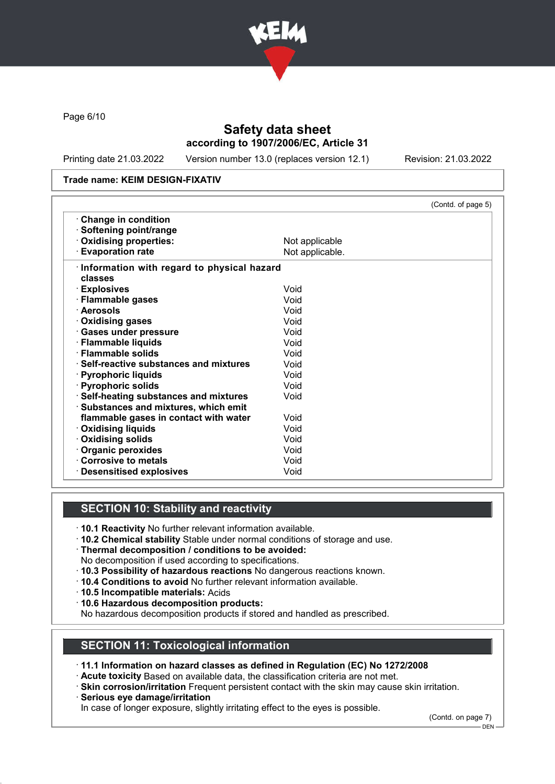

Page 6/10

# Safety data sheet according to 1907/2006/EC, Article 31

Printing date 21.03.2022 Version number 13.0 (replaces version 12.1) Revision: 21.03.2022

#### Trade name: KEIM DESIGN-FIXATIV

|                                            | (Contd. of page 5) |
|--------------------------------------------|--------------------|
| Change in condition                        |                    |
| · Softening point/range                    |                    |
| Oxidising properties:                      | Not applicable     |
| <b>Evaporation rate</b>                    | Not applicable.    |
| Information with regard to physical hazard |                    |
| classes                                    |                    |
| · Explosives                               | Void               |
| · Flammable gases                          | Void               |
| · Aerosols                                 | Void               |
| · Oxidising gases                          | Void               |
| · Gases under pressure                     | Void               |
| · Flammable liquids                        | Void               |
| · Flammable solids                         | Void               |
| ⋅ Self-reactive substances and mixtures    | Void               |
| · Pyrophoric liquids                       | Void               |
| · Pyrophoric solids                        | Void               |
| · Self-heating substances and mixtures     | Void               |
| · Substances and mixtures, which emit      |                    |
| flammable gases in contact with water      | Void               |
| <b>Oxidising liquids</b>                   | Void               |
| Oxidising solids                           | Void               |
| · Organic peroxides                        | Void               |
| Corrosive to metals                        | Void               |
| <b>Desensitised explosives</b>             | Void               |

# SECTION 10: Stability and reactivity

- · 10.1 Reactivity No further relevant information available.
- · 10.2 Chemical stability Stable under normal conditions of storage and use.
- · Thermal decomposition / conditions to be avoided:
- No decomposition if used according to specifications.
- · 10.3 Possibility of hazardous reactions No dangerous reactions known.
- · 10.4 Conditions to avoid No further relevant information available.
- · 10.5 Incompatible materials: Acids
- · 10.6 Hazardous decomposition products:

No hazardous decomposition products if stored and handled as prescribed.

### SECTION 11: Toxicological information

· 11.1 Information on hazard classes as defined in Regulation (EC) No 1272/2008

- · Acute toxicity Based on available data, the classification criteria are not met.
- · Skin corrosion/irritation Frequent persistent contact with the skin may cause skin irritation.
- · Serious eye damage/irritation

In case of longer exposure, slightly irritating effect to the eyes is possible.

(Contd. on page 7)

<sup>–</sup> DEN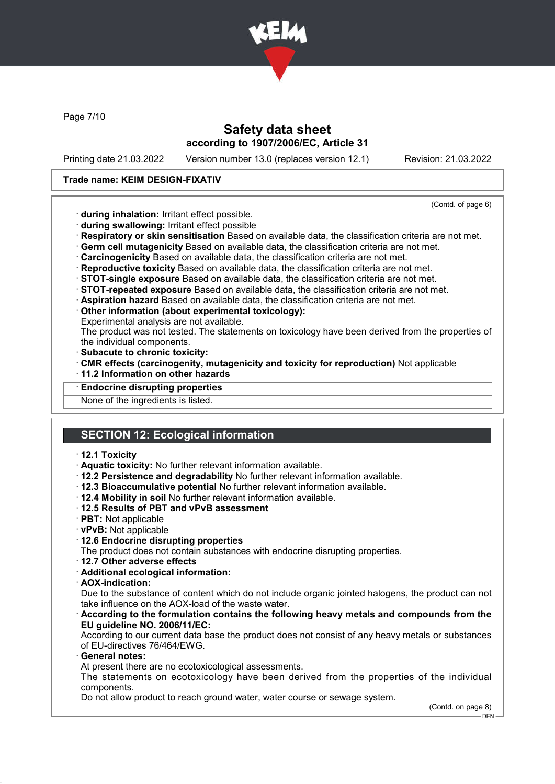

Page 7/10

## Safety data sheet according to 1907/2006/EC, Article 31

Printing date 21.03.2022 Version number 13.0 (replaces version 12.1) Revision: 21.03.2022

### Trade name: KEIM DESIGN-FIXATIV

(Contd. of page 6)

- · during inhalation: Irritant effect possible.
- · during swallowing: Irritant effect possible
- · Respiratory or skin sensitisation Based on available data, the classification criteria are not met.
- · Germ cell mutagenicity Based on available data, the classification criteria are not met.
- · Carcinogenicity Based on available data, the classification criteria are not met.
- · Reproductive toxicity Based on available data, the classification criteria are not met.
- · STOT-single exposure Based on available data, the classification criteria are not met.
- · STOT-repeated exposure Based on available data, the classification criteria are not met.
- · Aspiration hazard Based on available data, the classification criteria are not met.
- · Other information (about experimental toxicology):
- Experimental analysis are not available.

The product was not tested. The statements on toxicology have been derived from the properties of the individual components.

- · Subacute to chronic toxicity:
- · CMR effects (carcinogenity, mutagenicity and toxicity for reproduction) Not applicable
- · 11.2 Information on other hazards
- **Endocrine disrupting properties**

None of the ingredients is listed.

# SECTION 12: Ecological information

#### · 12.1 Toxicity

- · Aquatic toxicity: No further relevant information available.
- · 12.2 Persistence and degradability No further relevant information available.
- · 12.3 Bioaccumulative potential No further relevant information available.
- · 12.4 Mobility in soil No further relevant information available.
- · 12.5 Results of PBT and vPvB assessment
- · PBT: Not applicable
- · vPvB: Not applicable
- · 12.6 Endocrine disrupting properties
- The product does not contain substances with endocrine disrupting properties.
- · 12.7 Other adverse effects
- · Additional ecological information:
- · AOX-indication:

Due to the substance of content which do not include organic jointed halogens, the product can not take influence on the AOX-load of the waste water.

· According to the formulation contains the following heavy metals and compounds from the EU guideline NO. 2006/11/EC:

According to our current data base the product does not consist of any heavy metals or substances of EU-directives 76/464/EWG.

General notes:

At present there are no ecotoxicological assessments.

The statements on ecotoxicology have been derived from the properties of the individual components.

Do not allow product to reach ground water, water course or sewage system.

(Contd. on page 8)

<sup>-</sup> DEN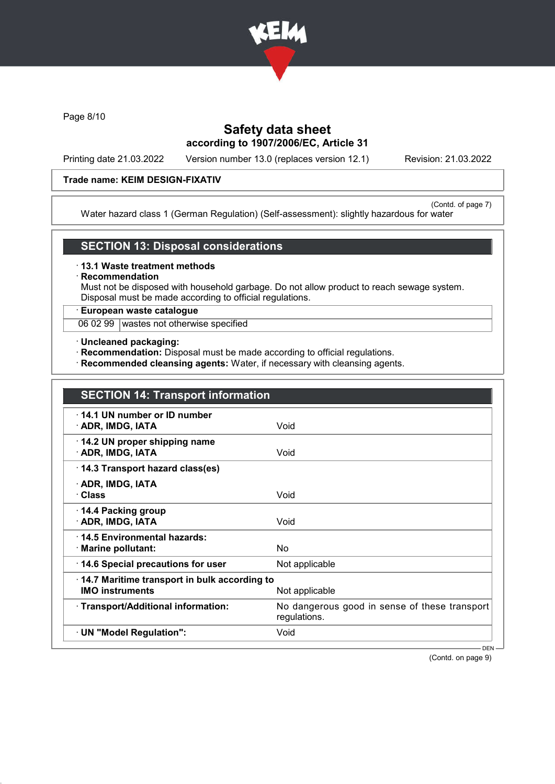

Page 8/10

# Safety data sheet according to 1907/2006/EC, Article 31

Printing date 21.03.2022 Version number 13.0 (replaces version 12.1) Revision: 21.03.2022

### Trade name: KEIM DESIGN-FIXATIV

(Contd. of page 7) Water hazard class 1 (German Regulation) (Self-assessment): slightly hazardous for water

### SECTION 13: Disposal considerations

· 13.1 Waste treatment methods

**Recommendation** 

Must not be disposed with household garbage. Do not allow product to reach sewage system. Disposal must be made according to official regulations.

### · European waste catalogue

06 02 99 wastes not otherwise specified

- · Uncleaned packaging:
- · Recommendation: Disposal must be made according to official regulations.
- · Recommended cleansing agents: Water, if necessary with cleansing agents.

| <b>SECTION 14: Transport information</b>                                                 |                                                               |
|------------------------------------------------------------------------------------------|---------------------------------------------------------------|
| 14.1 UN number or ID number<br>· ADR, IMDG, IATA                                         | Void                                                          |
| 14.2 UN proper shipping name<br>· ADR, IMDG, IATA                                        | Void                                                          |
| 14.3 Transport hazard class(es)                                                          |                                                               |
| · ADR, IMDG, IATA<br>∙ Class                                                             | Void                                                          |
| ⋅ 14.4 Packing group<br>· ADR, IMDG, IATA                                                | Void                                                          |
| 14.5 Environmental hazards:<br>· Marine pollutant:                                       | <b>No</b>                                                     |
| 14.6 Special precautions for user                                                        | Not applicable                                                |
| 14.7 Maritime transport in bulk according to<br><b>IMO instruments</b><br>Not applicable |                                                               |
| · Transport/Additional information:                                                      | No dangerous good in sense of these transport<br>regulations. |
| · UN "Model Regulation":                                                                 | Void                                                          |
|                                                                                          | $DEN -$                                                       |

(Contd. on page 9)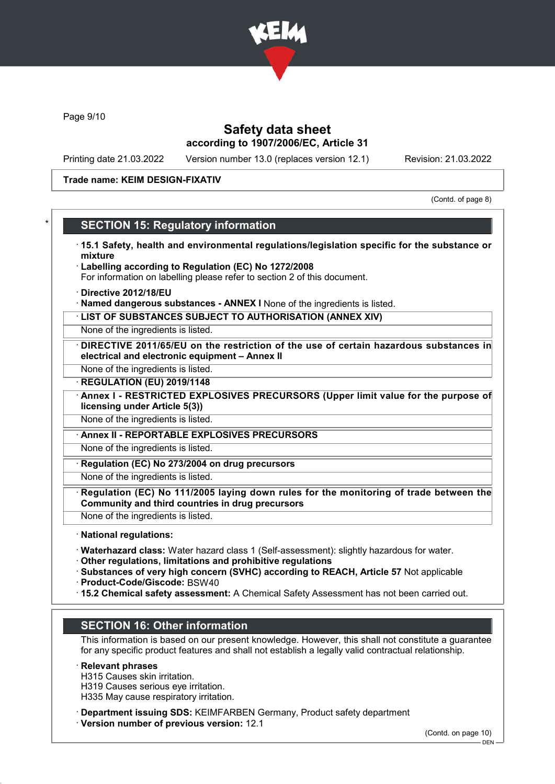

Page 9/10

## Safety data sheet according to 1907/2006/EC, Article 31

Printing date 21.03.2022 Version number 13.0 (replaces version 12.1) Revision: 21.03.2022

#### Trade name: KEIM DESIGN-FIXATIV

(Contd. of page 8)

### **SECTION 15: Regulatory information**

- · 15.1 Safety, health and environmental regulations/legislation specific for the substance or mixture
- Labelling according to Regulation (EC) No 1272/2008
- For information on labelling please refer to section 2 of this document.
- · Directive 2012/18/EU
- · Named dangerous substances ANNEX I None of the ingredients is listed.
- · LIST OF SUBSTANCES SUBJECT TO AUTHORISATION (ANNEX XIV)

None of the ingredients is listed.

- DIRECTIVE 2011/65/EU on the restriction of the use of certain hazardous substances in electrical and electronic equipment – Annex II
- None of the ingredients is listed.
- **REGULATION (EU) 2019/1148**
- Annex I RESTRICTED EXPLOSIVES PRECURSORS (Upper limit value for the purpose of licensing under Article 5(3))
- None of the ingredients is listed.
- · Annex II REPORTABLE EXPLOSIVES PRECURSORS

None of the ingredients is listed.

Regulation (EC) No 273/2004 on drug precursors

None of the ingredients is listed.

- Regulation (EC) No 111/2005 laying down rules for the monitoring of trade between the Community and third countries in drug precursors
- None of the ingredients is listed.

· National regulations:

- · Waterhazard class: Water hazard class 1 (Self-assessment): slightly hazardous for water.
- · Other regulations, limitations and prohibitive regulations
- · Substances of very high concern (SVHC) according to REACH, Article 57 Not applicable
- · Product-Code/Giscode: BSW40
- · 15.2 Chemical safety assessment: A Chemical Safety Assessment has not been carried out.

# SECTION 16: Other information

This information is based on our present knowledge. However, this shall not constitute a guarantee for any specific product features and shall not establish a legally valid contractual relationship.

#### · Relevant phrases

- H315 Causes skin irritation.
- H319 Causes serious eye irritation.
- H335 May cause respiratory irritation.
- · Department issuing SDS: KEIMFARBEN Germany, Product safety department
- · Version number of previous version: 12.1

(Contd. on page 10)

 $-$  DEN